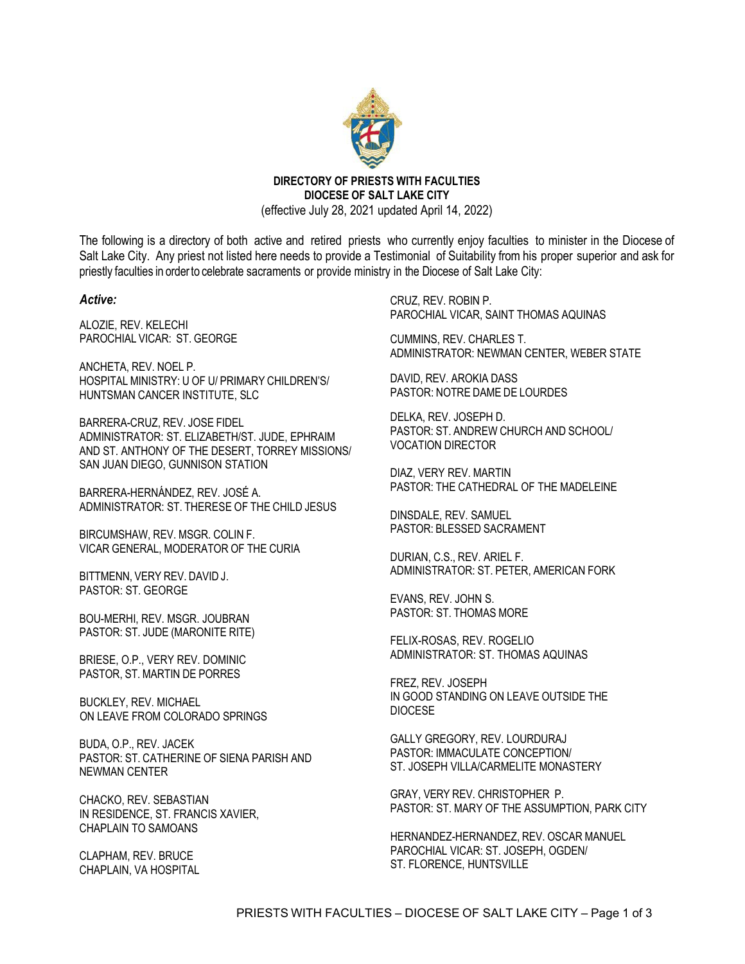

**DIRECTORY OF PRIESTS WITH FACULTIES DIOCESE OF SALT LAKE CITY**  (effective July 28, 2021 updated April 14, 2022)

The following is a directory of both active and retired priests who currently enjoy faculties to minister in the Diocese of Salt Lake City. Any priest not listed here needs to provide a Testimonial of Suitability from his proper superior and ask for priestly faculties in orderto celebrate sacraments or provide ministry in the Diocese of Salt Lake City:

## *Active:*

ALOZIE, REV. KELECHI PAROCHIAL VICAR: ST. GEORGE

ANCHETA, REV. NOEL P. HOSPITAL MINISTRY: U OF U/ PRIMARY CHILDREN'S/ HUNTSMAN CANCER INSTITUTE, SLC

BARRERA-CRUZ, REV. JOSE FIDEL ADMINISTRATOR: ST. ELIZABETH/ST. JUDE, EPHRAIM AND ST. ANTHONY OF THE DESERT, TORREY MISSIONS/ SAN JUAN DIEGO, GUNNISON STATION

BARRERA-HERNÁNDEZ, REV. JOSÉ A. ADMINISTRATOR: ST. THERESE OF THE CHILD JESUS

BIRCUMSHAW, REV. MSGR. COLIN F. VICAR GENERAL, MODERATOR OF THE CURIA

BITTMENN, VERY REV. DAVID J. PASTOR: ST. GEORGE

BOU-MERHI, REV. MSGR. JOUBRAN PASTOR: ST. JUDE (MARONITE RITE)

BRIESE, O.P., VERY REV. DOMINIC PASTOR, ST. MARTIN DE PORRES

BUCKLEY, REV. MICHAEL ON LEAVE FROM COLORADO SPRINGS

BUDA, O.P., REV. JACEK PASTOR: ST. CATHERINE OF SIENA PARISH AND NEWMAN CENTER

CHACKO, REV. SEBASTIAN IN RESIDENCE, ST. FRANCIS XAVIER, CHAPLAIN TO SAMOANS

CLAPHAM, REV. BRUCE CHAPLAIN, VA HOSPITAL CRUZ, REV. ROBIN P. PAROCHIAL VICAR, SAINT THOMAS AQUINAS

CUMMINS, REV. CHARLES T. ADMINISTRATOR: NEWMAN CENTER, WEBER STATE

DAVID, REV. AROKIA DASS PASTOR: NOTRE DAME DE LOURDES

DELKA, REV. JOSEPH D. PASTOR: ST. ANDREW CHURCH AND SCHOOL/ VOCATION DIRECTOR

DIAZ, VERY REV. MARTIN PASTOR: THE CATHEDRAL OF THE MADELEINE

DINSDALE, REV. SAMUEL PASTOR: BLESSED SACRAMENT

DURIAN, C.S., REV. ARIEL F. ADMINISTRATOR: ST. PETER, AMERICAN FORK

EVANS, REV. JOHN S. PASTOR: ST. THOMAS MORE

FELIX-ROSAS, REV. ROGELIO ADMINISTRATOR: ST. THOMAS AQUINAS

FREZ, REV. JOSEPH IN GOOD STANDING ON LEAVE OUTSIDE THE DIOCESE

GALLY GREGORY, REV. LOURDURAJ PASTOR: IMMACULATE CONCEPTION/ ST. JOSEPH VILLA/CARMELITE MONASTERY

GRAY, VERY REV. CHRISTOPHER P. PASTOR: ST. MARY OF THE ASSUMPTION, PARK CITY

HERNANDEZ-HERNANDEZ, REV. OSCAR MANUEL PAROCHIAL VICAR: ST. JOSEPH, OGDEN/ ST. FLORENCE, HUNTSVILLE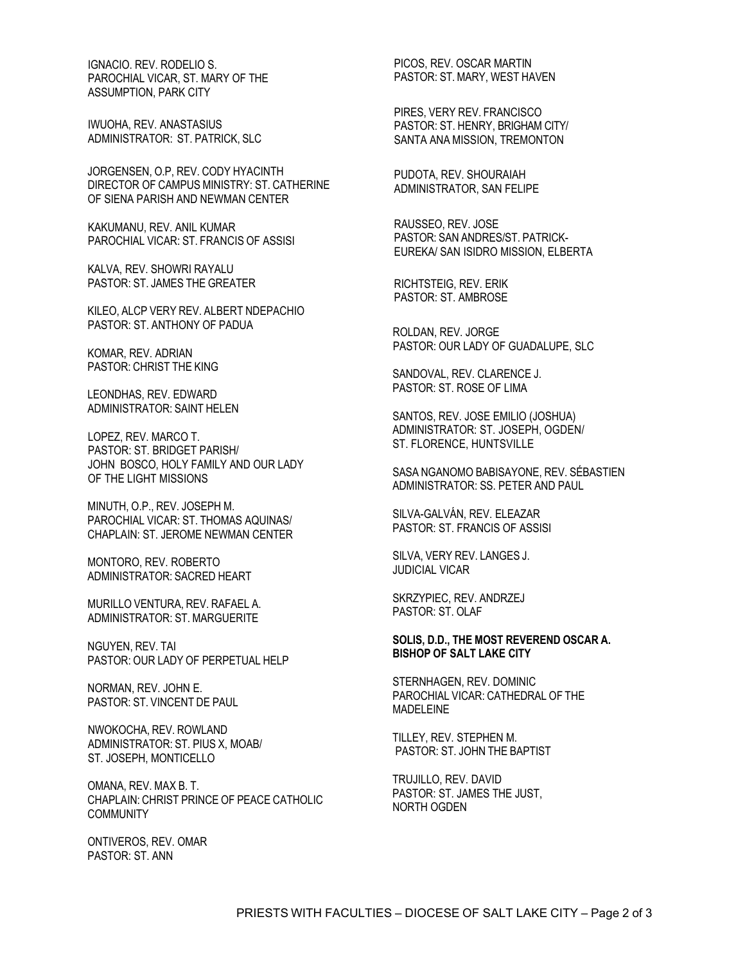IGNACIO. REV. RODELIO S. PAROCHIAL VICAR, ST. MARY OF THE ASSUMPTION, PARK CITY

IWUOHA, REV. ANASTASIUS ADMINISTRATOR: ST. PATRICK, SLC

JORGENSEN, O.P, REV. CODY HYACINTH DIRECTOR OF CAMPUS MINISTRY: ST. CATHERINE OF SIENA PARISH AND NEWMAN CENTER

KAKUMANU, REV. ANIL KUMAR PAROCHIAL VICAR: ST. FRANCIS OF ASSISI

KALVA, REV. SHOWRI RAYALU PASTOR: ST. JAMES THE GREATER

KILEO, ALCP VERY REV. ALBERT NDEPACHIO PASTOR: ST. ANTHONY OF PADUA

KOMAR, REV. ADRIAN PASTOR: CHRIST THE KING

LEONDHAS, REV. EDWARD ADMINISTRATOR: SAINT HELEN

LOPEZ, REV. MARCO T. PASTOR: ST. BRIDGET PARISH/ JOHN BOSCO, HOLY FAMILY AND OUR LADY OF THE LIGHT MISSIONS

MINUTH, O.P., REV. JOSEPH M. PAROCHIAL VICAR: ST. THOMAS AQUINAS/ CHAPLAIN: ST. JEROME NEWMAN CENTER

MONTORO, REV. ROBERTO ADMINISTRATOR: SACRED HEART

MURILLO VENTURA, REV. RAFAEL A. ADMINISTRATOR: ST. MARGUERITE

NGUYEN, REV. TAI PASTOR: OUR LADY OF PERPETUAL HELP

NORMAN, REV. JOHN E. PASTOR: ST. VINCENT DE PAUL

NWOKOCHA, REV. ROWLAND ADMINISTRATOR: ST. PIUS X, MOAB/ ST. JOSEPH, MONTICELLO

OMANA, REV. MAX B. T. CHAPLAIN: CHRIST PRINCE OF PEACE CATHOLIC COMMUNITY

ONTIVEROS, REV. OMAR PASTOR: ST. ANN

PICOS, REV. OSCAR MARTIN PASTOR: ST.MARY, WEST HAVEN

PIRES, VERY REV. FRANCISCO PASTOR: ST. HENRY, BRIGHAM CITY/ SANTA ANA MISSION, TREMONTON

PUDOTA, REV. SHOURAIAH ADMINISTRATOR, SAN FELIPE

RAUSSEO, REV. JOSE PASTOR: SAN ANDRES/ST. PATRICK-EUREKA/ SAN ISIDRO MISSION, ELBERTA

RICHTSTEIG, REV. ERIK PASTOR: ST. AMBROSE

ROLDAN, REV. JORGE PASTOR: OUR LADY OF GUADALUPE, SLC

SANDOVAL, REV. CLARENCE J. PASTOR: ST. ROSE OF LIMA

SANTOS, REV. JOSE EMILIO (JOSHUA) ADMINISTRATOR: ST. JOSEPH, OGDEN/ ST. FLORENCE, HUNTSVILLE

SASA NGANOMO BABISAYONE, REV. SÉBASTIEN ADMINISTRATOR: SS. PETER AND PAUL

SILVA-GALVÁN, REV. ELEAZAR PASTOR: ST. FRANCIS OF ASSISI

SILVA, VERY REV. LANGES J. JUDICIAL VICAR

SKRZYPIEC, REV. ANDRZEJ PASTOR: ST. OLAF

**SOLIS, D.D., THE MOST REVEREND OSCAR A. BISHOP OF SALT LAKE CITY** 

STERNHAGEN, REV. DOMINIC PAROCHIAL VICAR: CATHEDRAL OF THE MADELEINE

TILLEY, REV. STEPHEN M. PASTOR: ST. JOHN THE BAPTIST

TRUJILLO, REV. DAVID PASTOR: ST. JAMES THE JUST, NORTH OGDEN